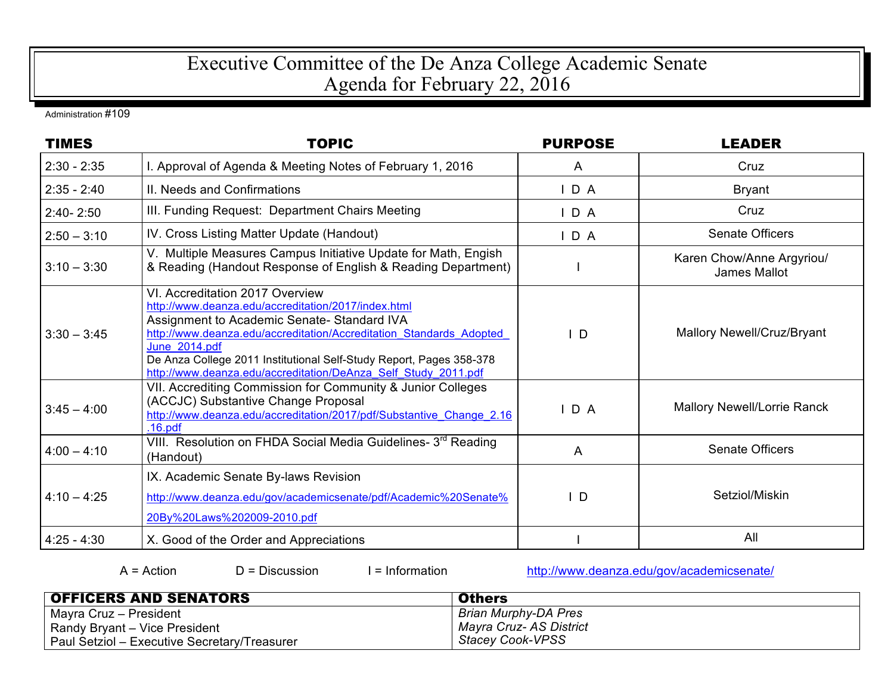## Executive Committee of the De Anza College Academic Senate Agenda for February 22, 2016

Administration #109

| <b>TIMES</b>  | <b>TOPIC</b>                                                                                                                                                                                                                                                                                                                                                           | <b>PURPOSE</b> | <b>LEADER</b>                             |
|---------------|------------------------------------------------------------------------------------------------------------------------------------------------------------------------------------------------------------------------------------------------------------------------------------------------------------------------------------------------------------------------|----------------|-------------------------------------------|
| $2:30 - 2:35$ | I. Approval of Agenda & Meeting Notes of February 1, 2016                                                                                                                                                                                                                                                                                                              | A              | Cruz                                      |
| $2:35 - 2:40$ | II. Needs and Confirmations                                                                                                                                                                                                                                                                                                                                            | D A            | <b>Bryant</b>                             |
| $2:40 - 2:50$ | III. Funding Request: Department Chairs Meeting                                                                                                                                                                                                                                                                                                                        | D A            | Cruz                                      |
| $2:50 - 3:10$ | IV. Cross Listing Matter Update (Handout)                                                                                                                                                                                                                                                                                                                              | D A            | <b>Senate Officers</b>                    |
| $3:10 - 3:30$ | V. Multiple Measures Campus Initiative Update for Math, Engish<br>& Reading (Handout Response of English & Reading Department)                                                                                                                                                                                                                                         |                | Karen Chow/Anne Argyriou/<br>James Mallot |
| $3:30 - 3:45$ | VI. Accreditation 2017 Overview<br>http://www.deanza.edu/accreditation/2017/index.html<br>Assignment to Academic Senate- Standard IVA<br>http://www.deanza.edu/accreditation/Accreditation Standards Adopted<br>June 2014.pdf<br>De Anza College 2011 Institutional Self-Study Report, Pages 358-378<br>http://www.deanza.edu/accreditation/DeAnza Self Study 2011.pdf | $\mathsf{L}$   | Mallory Newell/Cruz/Bryant                |
| $3:45 - 4:00$ | VII. Accrediting Commission for Community & Junior Colleges<br>(ACCJC) Substantive Change Proposal<br>http://www.deanza.edu/accreditation/2017/pdf/Substantive Change 2.16<br>.16.pdf                                                                                                                                                                                  | D A            | Mallory Newell/Lorrie Ranck               |
| $4:00 - 4:10$ | VIII. Resolution on FHDA Social Media Guidelines- 3 <sup>rd</sup> Reading<br>(Handout)                                                                                                                                                                                                                                                                                 | A              | <b>Senate Officers</b>                    |
| $4:10 - 4:25$ | IX. Academic Senate By-laws Revision<br>http://www.deanza.edu/gov/academicsenate/pdf/Academic%20Senate%<br>20By%20Laws%202009-2010.pdf                                                                                                                                                                                                                                 | $\mathsf{I}$ D | Setziol/Miskin                            |
| $4:25 - 4:30$ | X. Good of the Order and Appreciations                                                                                                                                                                                                                                                                                                                                 |                | All                                       |

A = Action  $D =$  Discussion I = Information http://www.deanza.edu/gov/academicsenate/

| <b>OFFICERS AND SENATORS</b>                              | <b>Others</b>           |
|-----------------------------------------------------------|-------------------------|
| Mayra Cruz - President                                    | Brian Murphy-DA Pres    |
| Randy Bryant - Vice President                             | Mayra Cruz- AS District |
| <sup>1</sup> Paul Setziol – Executive Secretary/Treasurer | <b>Stacey Cook-VPSS</b> |